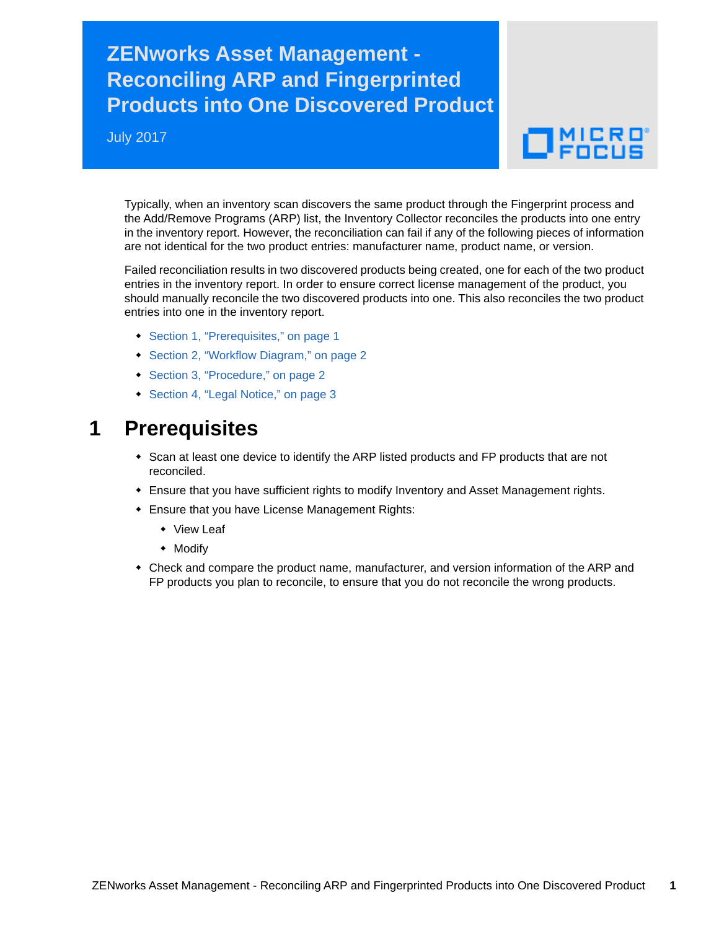## **ZENworks Asset Management - Reconciling ARP and Fingerprinted Products into One Discovered Product**

July 2017

# $\Box$ MICRO

Typically, when an inventory scan discovers the same product through the Fingerprint process and the Add/Remove Programs (ARP) list, the Inventory Collector reconciles the products into one entry in the inventory report. However, the reconciliation can fail if any of the following pieces of information are not identical for the two product entries: manufacturer name, product name, or version.

Failed reconciliation results in two discovered products being created, one for each of the two product entries in the inventory report. In order to ensure correct license management of the product, you should manually reconcile the two discovered products into one. This also reconciles the two product entries into one in the inventory report.

- [Section 1, "Prerequisites," on page 1](#page-0-0)
- [Section 2, "Workflow Diagram," on page 2](#page-1-0)
- [Section 3, "Procedure," on page 2](#page-1-1)
- ◆ [Section 4, "Legal Notice," on page 3](#page-2-0)

### <span id="page-0-0"></span>**1 Prerequisites**

- \* Scan at least one device to identify the ARP listed products and FP products that are not reconciled.
- Ensure that you have sufficient rights to modify Inventory and Asset Management rights.
- Ensure that you have License Management Rights:
	- View Leaf
	- Modify
- Check and compare the product name, manufacturer, and version information of the ARP and FP products you plan to reconcile, to ensure that you do not reconcile the wrong products.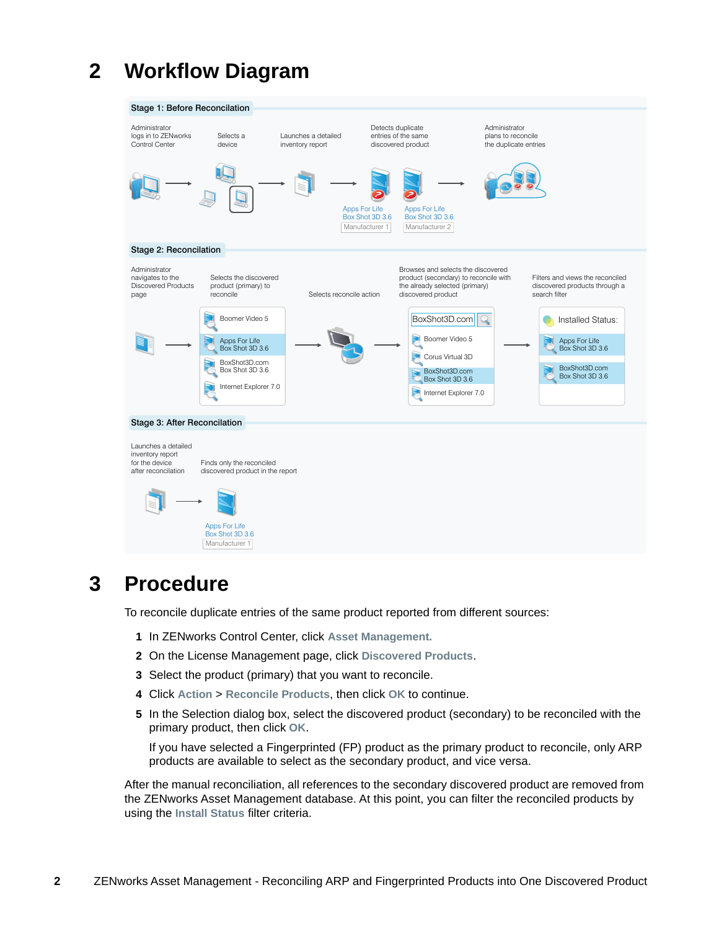## <span id="page-1-0"></span>**2 Workflow Diagram**



#### <span id="page-1-1"></span>**3 Procedure**

To reconcile duplicate entries of the same product reported from different sources:

- **1** In ZENworks Control Center, click **Asset Management.**
- **2** On the License Management page, click **Discovered Products**.
- **3** Select the product (primary) that you want to reconcile.
- **4** Click **Action** > **Reconcile Products**, then click **OK** to continue.
- **5** In the Selection dialog box, select the discovered product (secondary) to be reconciled with the primary product, then click **OK**.

If you have selected a Fingerprinted (FP) product as the primary product to reconcile, only ARP products are available to select as the secondary product, and vice versa.

After the manual reconciliation, all references to the secondary discovered product are removed from the ZENworks Asset Management database. At this point, you can filter the reconciled products by using the **Install Status** filter criteria.